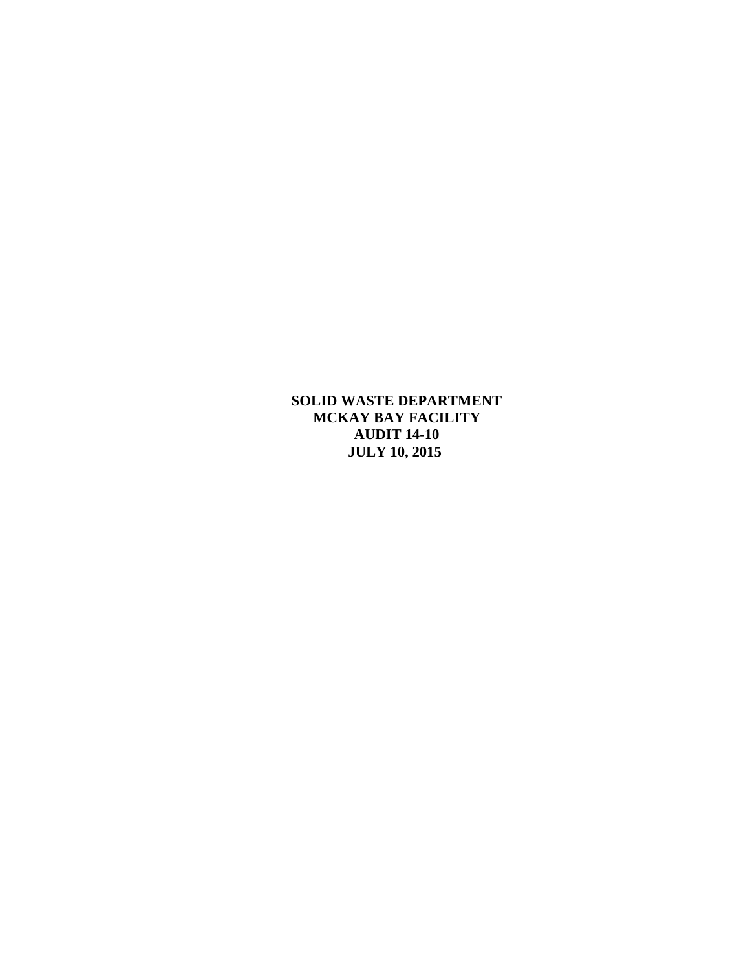**SOLID WASTE DEPARTMENT MCKAY BAY FACILITY AUDIT 14-10 JULY 10, 2015**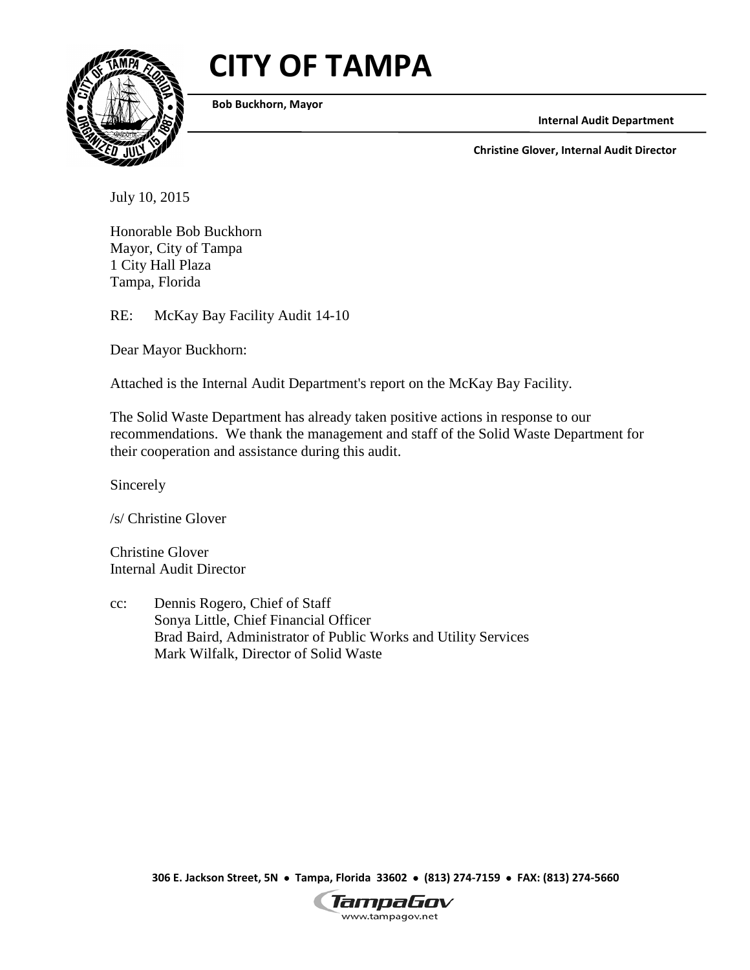# **CITY OF TAMPA**



**Bob Buckhorn, Mayor**

**Internal Audit Department**

**Christine Glover, Internal Audit Director**

July 10, 2015

Honorable Bob Buckhorn Mayor, City of Tampa 1 City Hall Plaza Tampa, Florida

RE: McKay Bay Facility Audit 14-10

Dear Mayor Buckhorn:

Attached is the Internal Audit Department's report on the McKay Bay Facility.

The Solid Waste Department has already taken positive actions in response to our recommendations. We thank the management and staff of the Solid Waste Department for their cooperation and assistance during this audit.

Sincerely

/s/ Christine Glover

Christine Glover Internal Audit Director

cc: Dennis Rogero, Chief of Staff Sonya Little, Chief Financial Officer Brad Baird, Administrator of Public Works and Utility Services Mark Wilfalk, Director of Solid Waste

**306 E. Jackson Street, 5N** • **Tampa, Florida 33602** • **(813) 274-7159** • **FAX: (813) 274-5660**

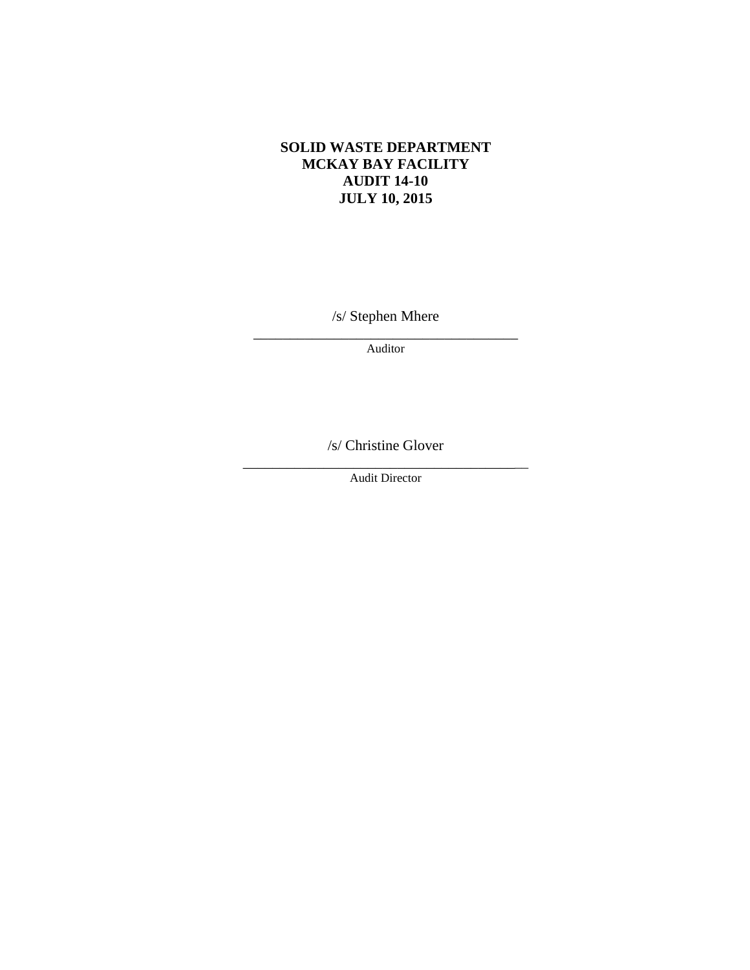## **SOLID WASTE DEPARTMENT MCKAY BAY FACILITY AUDIT 14-10 JULY 10, 2015**

/s/ Stephen Mhere

\_\_\_\_\_\_\_\_\_\_\_\_\_\_\_\_\_\_\_\_\_\_\_\_\_\_\_\_\_\_\_\_\_\_\_\_ Auditor

/s/ Christine Glover

\_\_\_\_\_\_\_\_\_\_\_\_\_\_\_\_\_\_\_\_\_\_\_\_\_\_\_\_\_\_\_\_\_\_\_\_\_\_\_ Audit Director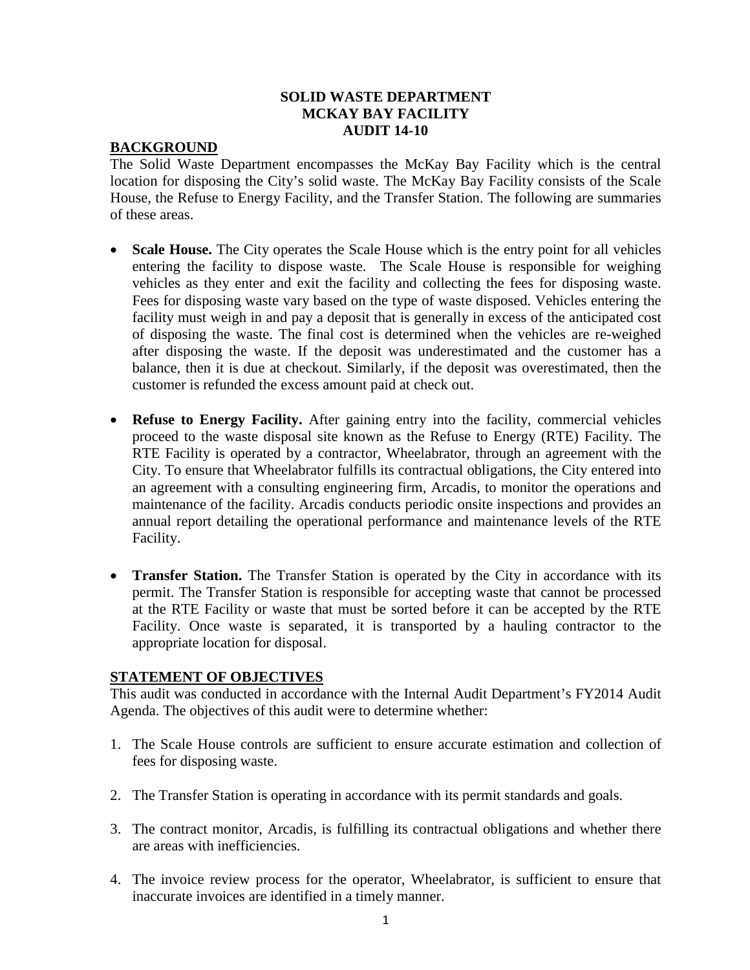### **SOLID WASTE DEPARTMENT MCKAY BAY FACILITY AUDIT 14-10**

#### **BACKGROUND**

The Solid Waste Department encompasses the McKay Bay Facility which is the central location for disposing the City's solid waste. The McKay Bay Facility consists of the Scale House, the Refuse to Energy Facility, and the Transfer Station. The following are summaries of these areas.

- **Scale House.** The City operates the Scale House which is the entry point for all vehicles entering the facility to dispose waste. The Scale House is responsible for weighing vehicles as they enter and exit the facility and collecting the fees for disposing waste. Fees for disposing waste vary based on the type of waste disposed. Vehicles entering the facility must weigh in and pay a deposit that is generally in excess of the anticipated cost of disposing the waste. The final cost is determined when the vehicles are re-weighed after disposing the waste. If the deposit was underestimated and the customer has a balance, then it is due at checkout. Similarly, if the deposit was overestimated, then the customer is refunded the excess amount paid at check out.
- **Refuse to Energy Facility.** After gaining entry into the facility, commercial vehicles proceed to the waste disposal site known as the Refuse to Energy (RTE) Facility. The RTE Facility is operated by a contractor, Wheelabrator, through an agreement with the City. To ensure that Wheelabrator fulfills its contractual obligations, the City entered into an agreement with a consulting engineering firm, Arcadis, to monitor the operations and maintenance of the facility. Arcadis conducts periodic onsite inspections and provides an annual report detailing the operational performance and maintenance levels of the RTE Facility.
- **Transfer Station.** The Transfer Station is operated by the City in accordance with its permit. The Transfer Station is responsible for accepting waste that cannot be processed at the RTE Facility or waste that must be sorted before it can be accepted by the RTE Facility. Once waste is separated, it is transported by a hauling contractor to the appropriate location for disposal.

#### **STATEMENT OF OBJECTIVES**

This audit was conducted in accordance with the Internal Audit Department's FY2014 Audit Agenda. The objectives of this audit were to determine whether:

- 1. The Scale House controls are sufficient to ensure accurate estimation and collection of fees for disposing waste.
- 2. The Transfer Station is operating in accordance with its permit standards and goals.
- 3. The contract monitor, Arcadis, is fulfilling its contractual obligations and whether there are areas with inefficiencies.
- 4. The invoice review process for the operator, Wheelabrator, is sufficient to ensure that inaccurate invoices are identified in a timely manner.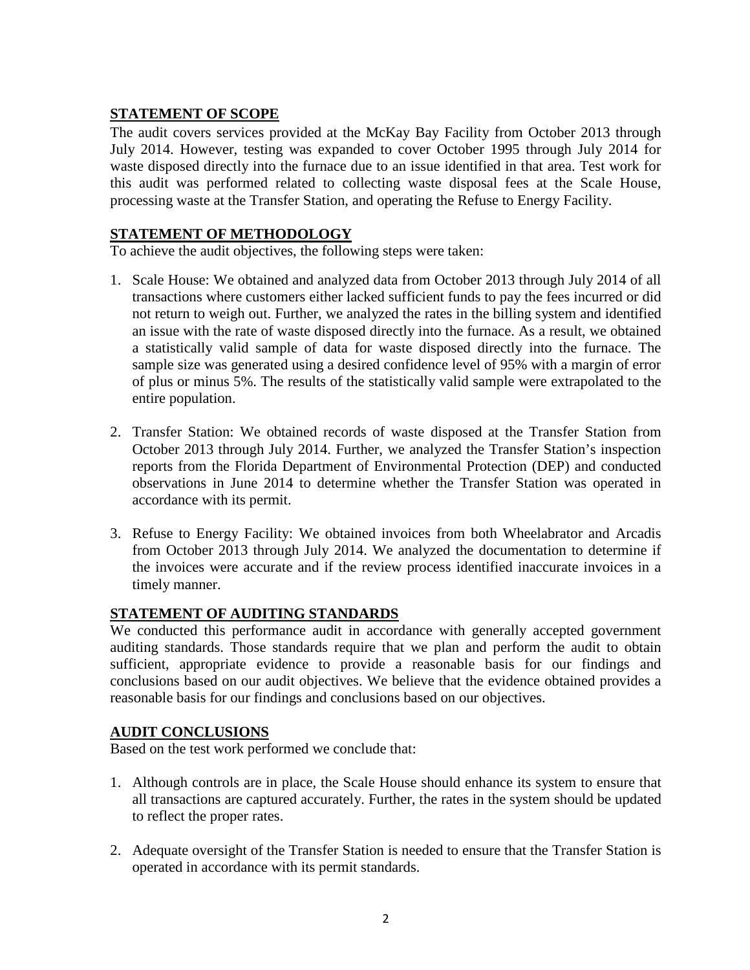## **STATEMENT OF SCOPE**

The audit covers services provided at the McKay Bay Facility from October 2013 through July 2014. However, testing was expanded to cover October 1995 through July 2014 for waste disposed directly into the furnace due to an issue identified in that area. Test work for this audit was performed related to collecting waste disposal fees at the Scale House, processing waste at the Transfer Station, and operating the Refuse to Energy Facility.

## **STATEMENT OF METHODOLOGY**

To achieve the audit objectives, the following steps were taken:

- 1. Scale House: We obtained and analyzed data from October 2013 through July 2014 of all transactions where customers either lacked sufficient funds to pay the fees incurred or did not return to weigh out. Further, we analyzed the rates in the billing system and identified an issue with the rate of waste disposed directly into the furnace. As a result, we obtained a statistically valid sample of data for waste disposed directly into the furnace. The sample size was generated using a desired confidence level of 95% with a margin of error of plus or minus 5%. The results of the statistically valid sample were extrapolated to the entire population.
- 2. Transfer Station: We obtained records of waste disposed at the Transfer Station from October 2013 through July 2014. Further, we analyzed the Transfer Station's inspection reports from the Florida Department of Environmental Protection (DEP) and conducted observations in June 2014 to determine whether the Transfer Station was operated in accordance with its permit.
- 3. Refuse to Energy Facility: We obtained invoices from both Wheelabrator and Arcadis from October 2013 through July 2014. We analyzed the documentation to determine if the invoices were accurate and if the review process identified inaccurate invoices in a timely manner.

## **STATEMENT OF AUDITING STANDARDS**

We conducted this performance audit in accordance with generally accepted government auditing standards. Those standards require that we plan and perform the audit to obtain sufficient, appropriate evidence to provide a reasonable basis for our findings and conclusions based on our audit objectives. We believe that the evidence obtained provides a reasonable basis for our findings and conclusions based on our objectives.

## **AUDIT CONCLUSIONS**

Based on the test work performed we conclude that:

- 1. Although controls are in place, the Scale House should enhance its system to ensure that all transactions are captured accurately. Further, the rates in the system should be updated to reflect the proper rates.
- 2. Adequate oversight of the Transfer Station is needed to ensure that the Transfer Station is operated in accordance with its permit standards.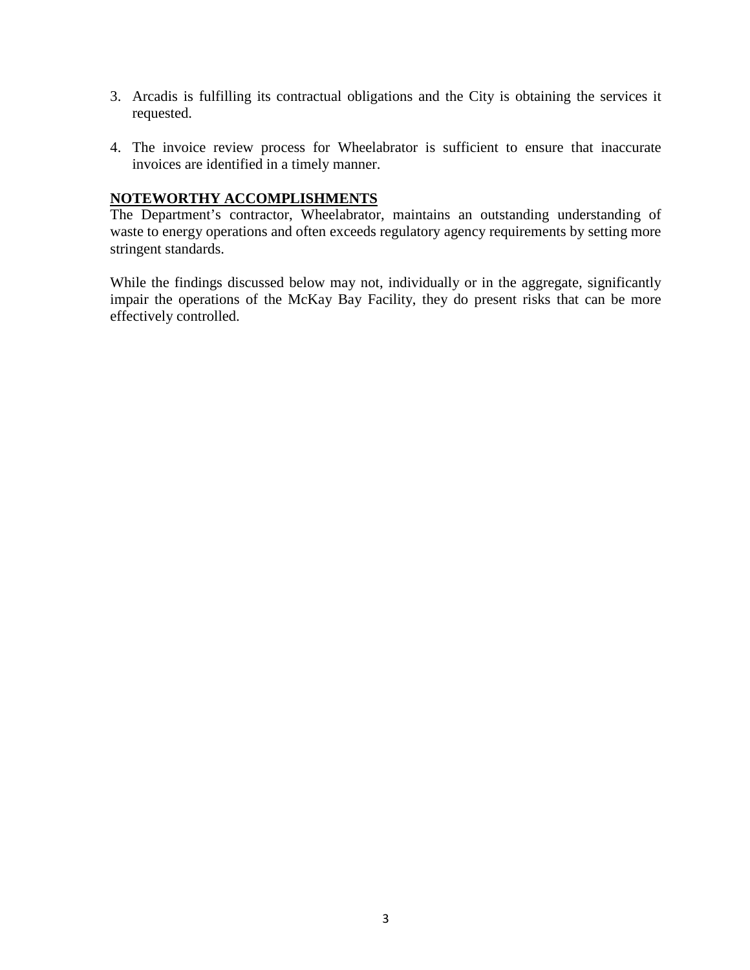- 3. Arcadis is fulfilling its contractual obligations and the City is obtaining the services it requested.
- 4. The invoice review process for Wheelabrator is sufficient to ensure that inaccurate invoices are identified in a timely manner.

#### **NOTEWORTHY ACCOMPLISHMENTS**

The Department's contractor, Wheelabrator, maintains an outstanding understanding of waste to energy operations and often exceeds regulatory agency requirements by setting more stringent standards.

While the findings discussed below may not, individually or in the aggregate, significantly impair the operations of the McKay Bay Facility, they do present risks that can be more effectively controlled.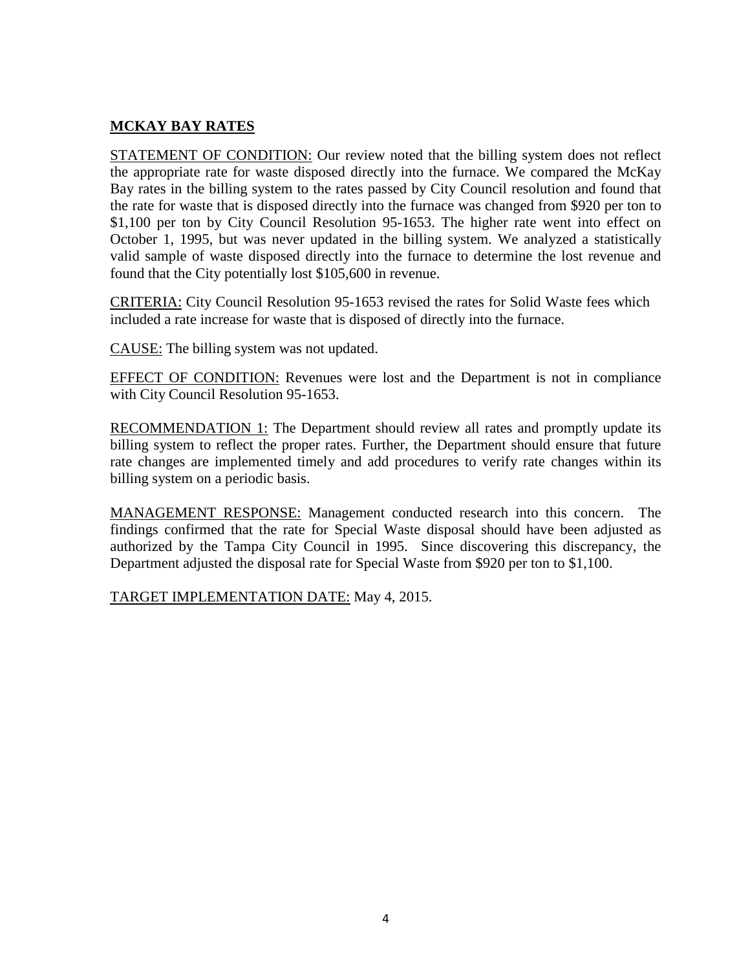# **MCKAY BAY RATES**

STATEMENT OF CONDITION: Our review noted that the billing system does not reflect the appropriate rate for waste disposed directly into the furnace. We compared the McKay Bay rates in the billing system to the rates passed by City Council resolution and found that the rate for waste that is disposed directly into the furnace was changed from \$920 per ton to \$1,100 per ton by City Council Resolution 95-1653. The higher rate went into effect on October 1, 1995, but was never updated in the billing system. We analyzed a statistically valid sample of waste disposed directly into the furnace to determine the lost revenue and found that the City potentially lost \$105,600 in revenue.

CRITERIA: City Council Resolution 95-1653 revised the rates for Solid Waste fees which included a rate increase for waste that is disposed of directly into the furnace.

CAUSE: The billing system was not updated.

EFFECT OF CONDITION: Revenues were lost and the Department is not in compliance with City Council Resolution 95-1653.

RECOMMENDATION 1: The Department should review all rates and promptly update its billing system to reflect the proper rates. Further, the Department should ensure that future rate changes are implemented timely and add procedures to verify rate changes within its billing system on a periodic basis.

MANAGEMENT RESPONSE: Management conducted research into this concern. The findings confirmed that the rate for Special Waste disposal should have been adjusted as authorized by the Tampa City Council in 1995. Since discovering this discrepancy, the Department adjusted the disposal rate for Special Waste from \$920 per ton to \$1,100.

TARGET IMPLEMENTATION DATE: May 4, 2015.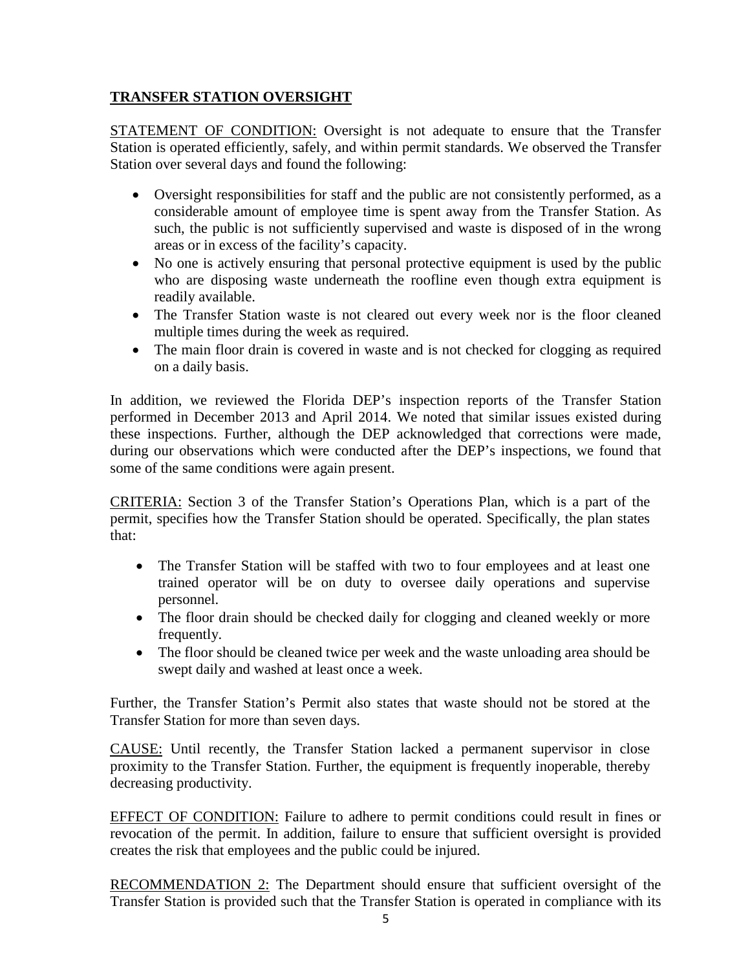## **TRANSFER STATION OVERSIGHT**

STATEMENT OF CONDITION: Oversight is not adequate to ensure that the Transfer Station is operated efficiently, safely, and within permit standards. We observed the Transfer Station over several days and found the following:

- Oversight responsibilities for staff and the public are not consistently performed, as a considerable amount of employee time is spent away from the Transfer Station. As such, the public is not sufficiently supervised and waste is disposed of in the wrong areas or in excess of the facility's capacity.
- No one is actively ensuring that personal protective equipment is used by the public who are disposing waste underneath the roofline even though extra equipment is readily available.
- The Transfer Station waste is not cleared out every week nor is the floor cleaned multiple times during the week as required.
- The main floor drain is covered in waste and is not checked for clogging as required on a daily basis.

In addition, we reviewed the Florida DEP's inspection reports of the Transfer Station performed in December 2013 and April 2014. We noted that similar issues existed during these inspections. Further, although the DEP acknowledged that corrections were made, during our observations which were conducted after the DEP's inspections, we found that some of the same conditions were again present.

CRITERIA: Section 3 of the Transfer Station's Operations Plan, which is a part of the permit, specifies how the Transfer Station should be operated. Specifically, the plan states that:

- The Transfer Station will be staffed with two to four employees and at least one trained operator will be on duty to oversee daily operations and supervise personnel.
- The floor drain should be checked daily for clogging and cleaned weekly or more frequently.
- The floor should be cleaned twice per week and the waste unloading area should be swept daily and washed at least once a week.

Further, the Transfer Station's Permit also states that waste should not be stored at the Transfer Station for more than seven days.

CAUSE: Until recently, the Transfer Station lacked a permanent supervisor in close proximity to the Transfer Station. Further, the equipment is frequently inoperable, thereby decreasing productivity.

EFFECT OF CONDITION: Failure to adhere to permit conditions could result in fines or revocation of the permit. In addition, failure to ensure that sufficient oversight is provided creates the risk that employees and the public could be injured.

RECOMMENDATION 2: The Department should ensure that sufficient oversight of the Transfer Station is provided such that the Transfer Station is operated in compliance with its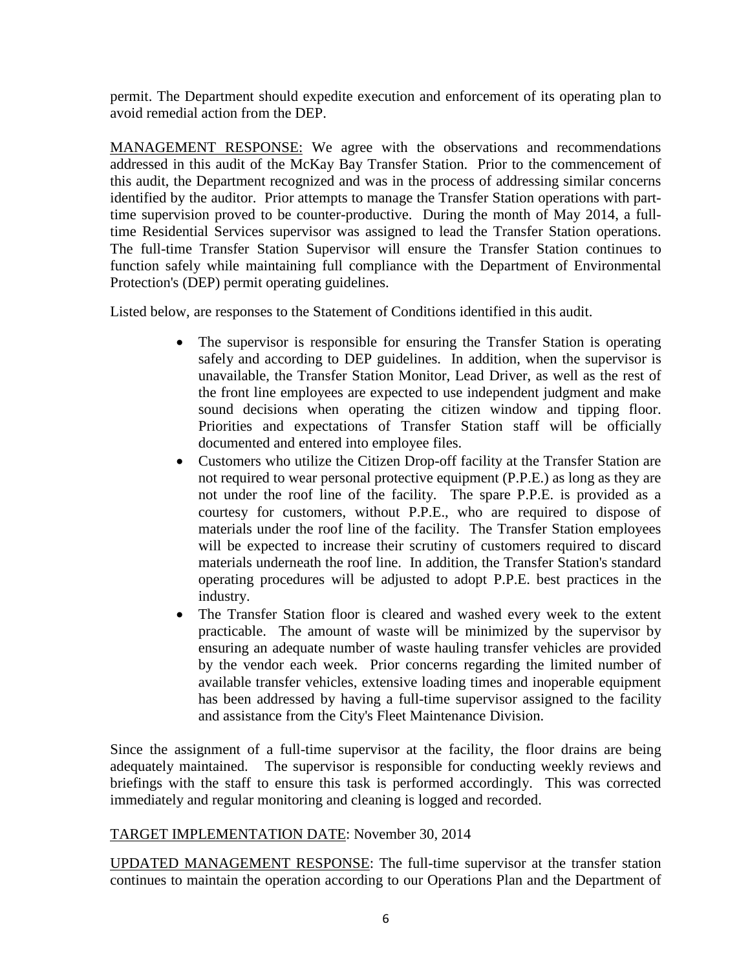permit. The Department should expedite execution and enforcement of its operating plan to avoid remedial action from the DEP.

MANAGEMENT RESPONSE: We agree with the observations and recommendations addressed in this audit of the McKay Bay Transfer Station. Prior to the commencement of this audit, the Department recognized and was in the process of addressing similar concerns identified by the auditor. Prior attempts to manage the Transfer Station operations with parttime supervision proved to be counter-productive. During the month of May 2014, a fulltime Residential Services supervisor was assigned to lead the Transfer Station operations. The full-time Transfer Station Supervisor will ensure the Transfer Station continues to function safely while maintaining full compliance with the Department of Environmental Protection's (DEP) permit operating guidelines.

Listed below, are responses to the Statement of Conditions identified in this audit.

- The supervisor is responsible for ensuring the Transfer Station is operating safely and according to DEP guidelines. In addition, when the supervisor is unavailable, the Transfer Station Monitor, Lead Driver, as well as the rest of the front line employees are expected to use independent judgment and make sound decisions when operating the citizen window and tipping floor. Priorities and expectations of Transfer Station staff will be officially documented and entered into employee files.
- Customers who utilize the Citizen Drop-off facility at the Transfer Station are not required to wear personal protective equipment (P.P.E.) as long as they are not under the roof line of the facility. The spare P.P.E. is provided as a courtesy for customers, without P.P.E., who are required to dispose of materials under the roof line of the facility. The Transfer Station employees will be expected to increase their scrutiny of customers required to discard materials underneath the roof line. In addition, the Transfer Station's standard operating procedures will be adjusted to adopt P.P.E. best practices in the industry.
- The Transfer Station floor is cleared and washed every week to the extent practicable. The amount of waste will be minimized by the supervisor by ensuring an adequate number of waste hauling transfer vehicles are provided by the vendor each week. Prior concerns regarding the limited number of available transfer vehicles, extensive loading times and inoperable equipment has been addressed by having a full-time supervisor assigned to the facility and assistance from the City's Fleet Maintenance Division.

Since the assignment of a full-time supervisor at the facility, the floor drains are being adequately maintained. The supervisor is responsible for conducting weekly reviews and briefings with the staff to ensure this task is performed accordingly. This was corrected immediately and regular monitoring and cleaning is logged and recorded.

## TARGET IMPLEMENTATION DATE: November 30, 2014

UPDATED MANAGEMENT RESPONSE: The full-time supervisor at the transfer station continues to maintain the operation according to our Operations Plan and the Department of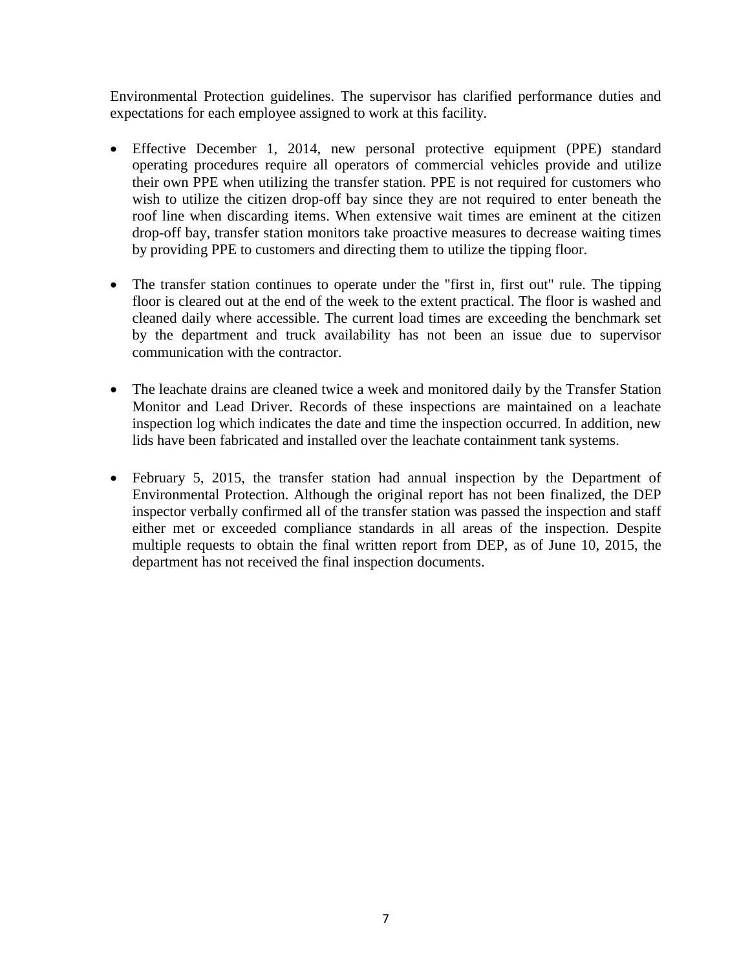Environmental Protection guidelines. The supervisor has clarified performance duties and expectations for each employee assigned to work at this facility.

- Effective December 1, 2014, new personal protective equipment (PPE) standard operating procedures require all operators of commercial vehicles provide and utilize their own PPE when utilizing the transfer station. PPE is not required for customers who wish to utilize the citizen drop-off bay since they are not required to enter beneath the roof line when discarding items. When extensive wait times are eminent at the citizen drop-off bay, transfer station monitors take proactive measures to decrease waiting times by providing PPE to customers and directing them to utilize the tipping floor.
- The transfer station continues to operate under the "first in, first out" rule. The tipping floor is cleared out at the end of the week to the extent practical. The floor is washed and cleaned daily where accessible. The current load times are exceeding the benchmark set by the department and truck availability has not been an issue due to supervisor communication with the contractor.
- The leachate drains are cleaned twice a week and monitored daily by the Transfer Station Monitor and Lead Driver. Records of these inspections are maintained on a leachate inspection log which indicates the date and time the inspection occurred. In addition, new lids have been fabricated and installed over the leachate containment tank systems.
- February 5, 2015, the transfer station had annual inspection by the Department of Environmental Protection. Although the original report has not been finalized, the DEP inspector verbally confirmed all of the transfer station was passed the inspection and staff either met or exceeded compliance standards in all areas of the inspection. Despite multiple requests to obtain the final written report from DEP, as of June 10, 2015, the department has not received the final inspection documents.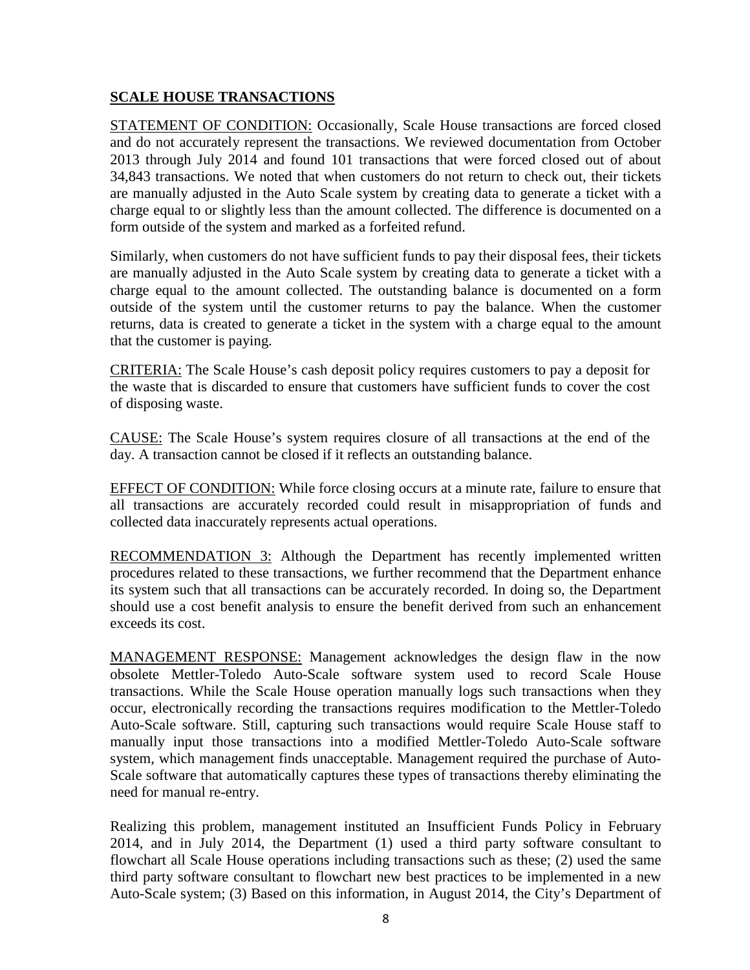## **SCALE HOUSE TRANSACTIONS**

STATEMENT OF CONDITION: Occasionally, Scale House transactions are forced closed and do not accurately represent the transactions. We reviewed documentation from October 2013 through July 2014 and found 101 transactions that were forced closed out of about 34,843 transactions. We noted that when customers do not return to check out, their tickets are manually adjusted in the Auto Scale system by creating data to generate a ticket with a charge equal to or slightly less than the amount collected. The difference is documented on a form outside of the system and marked as a forfeited refund.

Similarly, when customers do not have sufficient funds to pay their disposal fees, their tickets are manually adjusted in the Auto Scale system by creating data to generate a ticket with a charge equal to the amount collected. The outstanding balance is documented on a form outside of the system until the customer returns to pay the balance. When the customer returns, data is created to generate a ticket in the system with a charge equal to the amount that the customer is paying.

CRITERIA: The Scale House's cash deposit policy requires customers to pay a deposit for the waste that is discarded to ensure that customers have sufficient funds to cover the cost of disposing waste.

CAUSE: The Scale House's system requires closure of all transactions at the end of the day. A transaction cannot be closed if it reflects an outstanding balance.

EFFECT OF CONDITION: While force closing occurs at a minute rate, failure to ensure that all transactions are accurately recorded could result in misappropriation of funds and collected data inaccurately represents actual operations.

RECOMMENDATION 3: Although the Department has recently implemented written procedures related to these transactions, we further recommend that the Department enhance its system such that all transactions can be accurately recorded. In doing so, the Department should use a cost benefit analysis to ensure the benefit derived from such an enhancement exceeds its cost.

MANAGEMENT RESPONSE: Management acknowledges the design flaw in the now obsolete Mettler-Toledo Auto-Scale software system used to record Scale House transactions. While the Scale House operation manually logs such transactions when they occur, electronically recording the transactions requires modification to the Mettler-Toledo Auto-Scale software. Still, capturing such transactions would require Scale House staff to manually input those transactions into a modified Mettler-Toledo Auto-Scale software system, which management finds unacceptable. Management required the purchase of Auto-Scale software that automatically captures these types of transactions thereby eliminating the need for manual re-entry.

Realizing this problem, management instituted an Insufficient Funds Policy in February 2014, and in July 2014, the Department (1) used a third party software consultant to flowchart all Scale House operations including transactions such as these; (2) used the same third party software consultant to flowchart new best practices to be implemented in a new Auto-Scale system; (3) Based on this information, in August 2014, the City's Department of